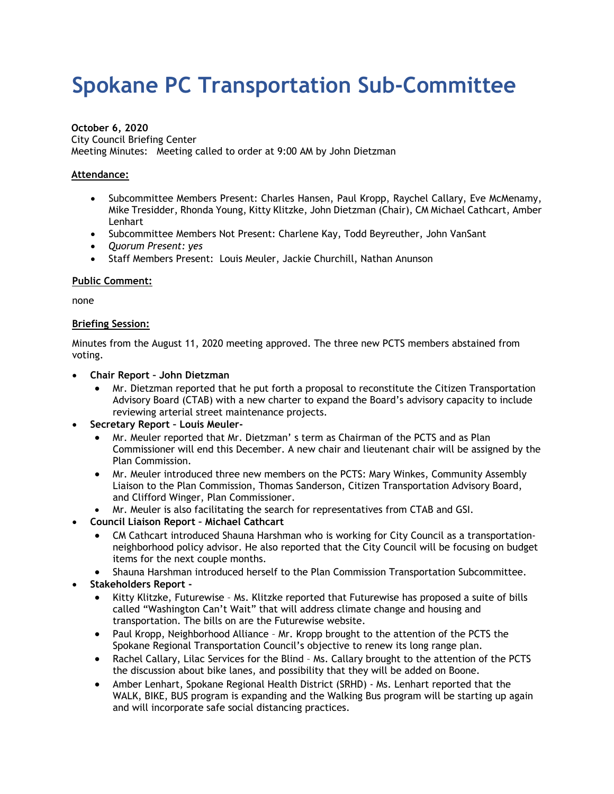# **Spokane PC Transportation Sub-Committee**

#### **October 6, 2020**

City Council Briefing Center Meeting Minutes: Meeting called to order at 9:00 AM by John Dietzman

#### **Attendance:**

- Subcommittee Members Present: Charles Hansen, Paul Kropp, Raychel Callary, Eve McMenamy, Mike Tresidder, Rhonda Young, Kitty Klitzke, John Dietzman (Chair), CM Michael Cathcart, Amber Lenhart
- Subcommittee Members Not Present: Charlene Kay, Todd Beyreuther, John VanSant
- *Quorum Present: yes*
- Staff Members Present: Louis Meuler, Jackie Churchill, Nathan Anunson

#### **Public Comment:**

none

#### **Briefing Session:**

Minutes from the August 11, 2020 meeting approved. The three new PCTS members abstained from voting.

- **Chair Report John Dietzman**
	- Mr. Dietzman reported that he put forth a proposal to reconstitute the Citizen Transportation Advisory Board (CTAB) with a new charter to expand the Board's advisory capacity to include reviewing arterial street maintenance projects.
- **Secretary Report Louis Meuler-**
	- Mr. Meuler reported that Mr. Dietzman' s term as Chairman of the PCTS and as Plan Commissioner will end this December. A new chair and lieutenant chair will be assigned by the Plan Commission.
	- Mr. Meuler introduced three new members on the PCTS: Mary Winkes, Community Assembly Liaison to the Plan Commission, Thomas Sanderson, Citizen Transportation Advisory Board, and Clifford Winger, Plan Commissioner.
	- Mr. Meuler is also facilitating the search for representatives from CTAB and GSI.
- **Council Liaison Report Michael Cathcart**
	- CM Cathcart introduced Shauna Harshman who is working for City Council as a transportationneighborhood policy advisor. He also reported that the City Council will be focusing on budget items for the next couple months.
	- Shauna Harshman introduced herself to the Plan Commission Transportation Subcommittee.
- **Stakeholders Report -**
	- Kitty Klitzke, Futurewise Ms. Klitzke reported that Futurewise has proposed a suite of bills called "Washington Can't Wait" that will address climate change and housing and transportation. The bills on are the Futurewise website.
	- Paul Kropp, Neighborhood Alliance Mr. Kropp brought to the attention of the PCTS the Spokane Regional Transportation Council's objective to renew its long range plan.
	- Rachel Callary, Lilac Services for the Blind Ms. Callary brought to the attention of the PCTS the discussion about bike lanes, and possibility that they will be added on Boone.
	- Amber Lenhart, Spokane Regional Health District (SRHD) Ms. Lenhart reported that the WALK, BIKE, BUS program is expanding and the Walking Bus program will be starting up again and will incorporate safe social distancing practices.